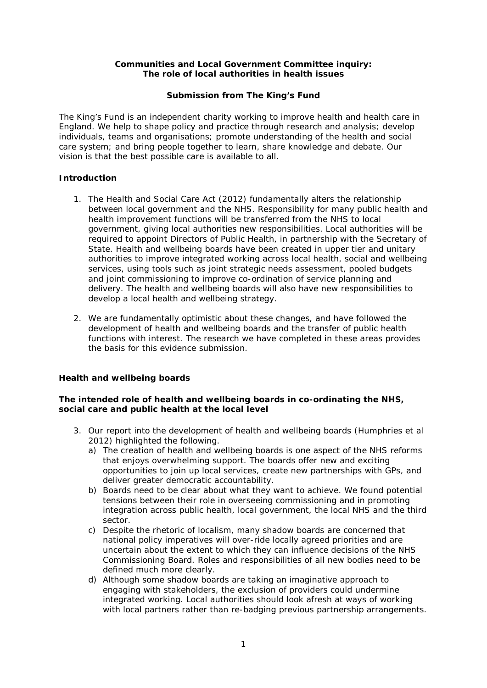## **Communities and Local Government Committee inquiry: The role of local authorities in health issues**

## **Submission from The King's Fund**

The King's Fund is an independent charity working to improve health and health care in England. We help to shape policy and practice through research and analysis; develop individuals, teams and organisations; promote understanding of the health and social care system; and bring people together to learn, share knowledge and debate. Our vision is that the best possible care is available to all.

## **Introduction**

- 1. The Health and Social Care Act (2012) fundamentally alters the relationship between local government and the NHS. Responsibility for many public health and health improvement functions will be transferred from the NHS to local government, giving local authorities new responsibilities. Local authorities will be required to appoint Directors of Public Health, in partnership with the Secretary of State. Health and wellbeing boards have been created in upper tier and unitary authorities to improve integrated working across local health, social and wellbeing services, using tools such as joint strategic needs assessment, pooled budgets and joint commissioning to improve co-ordination of service planning and delivery. The health and wellbeing boards will also have new responsibilities to develop a local health and wellbeing strategy.
- 2. We are fundamentally optimistic about these changes, and have followed the development of health and wellbeing boards and the transfer of public health functions with interest. The research we have completed in these areas provides the basis for this evidence submission.

# **Health and wellbeing boards**

## **The intended role of health and wellbeing boards in co-ordinating the NHS, social care and public health at the local level**

- 3. Our report into the development of health and wellbeing boards (Humphries *et al* 2012) highlighted the following.
	- a) The creation of health and wellbeing boards is one aspect of the NHS reforms that enjoys overwhelming support. The boards offer new and exciting opportunities to join up local services, create new partnerships with GPs, and deliver greater democratic accountability.
	- b) Boards need to be clear about what they want to achieve. We found potential tensions between their role in overseeing commissioning and in promoting integration across public health, local government, the local NHS and the third sector.
	- c) Despite the rhetoric of localism, many shadow boards are concerned that national policy imperatives will over-ride locally agreed priorities and are uncertain about the extent to which they can influence decisions of the NHS Commissioning Board. Roles and responsibilities of all new bodies need to be defined much more clearly.
	- d) Although some shadow boards are taking an imaginative approach to engaging with stakeholders, the exclusion of providers could undermine integrated working. Local authorities should look afresh at ways of working with local partners rather than re-badging previous partnership arrangements.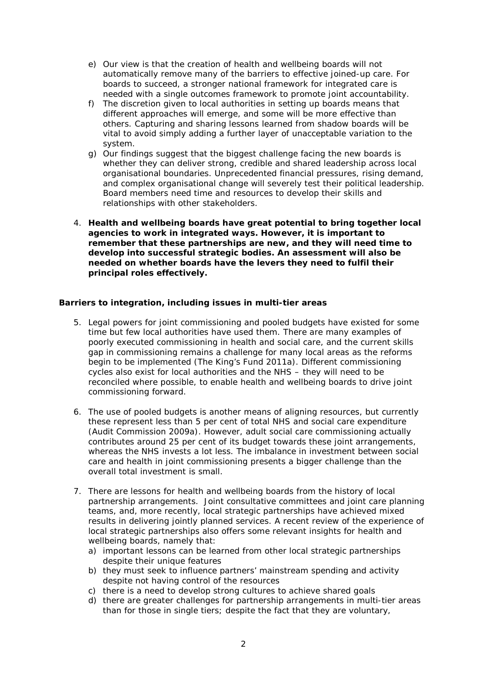- e) Our view is that the creation of health and wellbeing boards will not automatically remove many of the barriers to effective joined-up care. For boards to succeed, a stronger national framework for integrated care is needed with a single outcomes framework to promote joint accountability.
- f) The discretion given to local authorities in setting up boards means that different approaches will emerge, and some will be more effective than others. Capturing and sharing lessons learned from shadow boards will be vital to avoid simply adding a further layer of unacceptable variation to the system.
- g) Our findings suggest that the biggest challenge facing the new boards is whether they can deliver strong, credible and shared leadership across local organisational boundaries. Unprecedented financial pressures, rising demand, and complex organisational change will severely test their political leadership. Board members need time and resources to develop their skills and relationships with other stakeholders.
- 4. *Health and wellbeing boards have great potential to bring together local agencies to work in integrated ways. However, it is important to remember that these partnerships are new, and they will need time to develop into successful strategic bodies. An assessment will also be needed on whether boards have the levers they need to fulfil their principal roles effectively.*

### **Barriers to integration, including issues in multi-tier areas**

- 5. Legal powers for joint commissioning and pooled budgets have existed for some time but few local authorities have used them. There are many examples of poorly executed commissioning in health and social care, and the current skills gap in commissioning remains a challenge for many local areas as the reforms begin to be implemented (The King's Fund 2011a). Different commissioning cycles also exist for local authorities and the NHS – they will need to be reconciled where possible, to enable health and wellbeing boards to drive joint commissioning forward.
- 6. The use of pooled budgets is another means of aligning resources, but currently these represent less than 5 per cent of total NHS and social care expenditure (Audit Commission 2009a). However, adult social care commissioning actually contributes around 25 per cent of its budget towards these joint arrangements, whereas the NHS invests a lot less. The imbalance in investment between social care and health in joint commissioning presents a bigger challenge than the overall total investment is small.
- 7. There are lessons for health and wellbeing boards from the history of local partnership arrangements. Joint consultative committees and joint care planning teams, and, more recently, local strategic partnerships have achieved mixed results in delivering jointly planned services. A recent review of the experience of local strategic partnerships also offers some relevant insights for health and wellbeing boards, namely that:
	- a) important lessons can be learned from other local strategic partnerships despite their unique features
	- b) they must seek to influence partners' mainstream spending and activity despite not having control of the resources
	- c) there is a need to develop strong cultures to achieve shared goals
	- d) there are greater challenges for partnership arrangements in multi-tier areas than for those in single tiers; despite the fact that they are voluntary,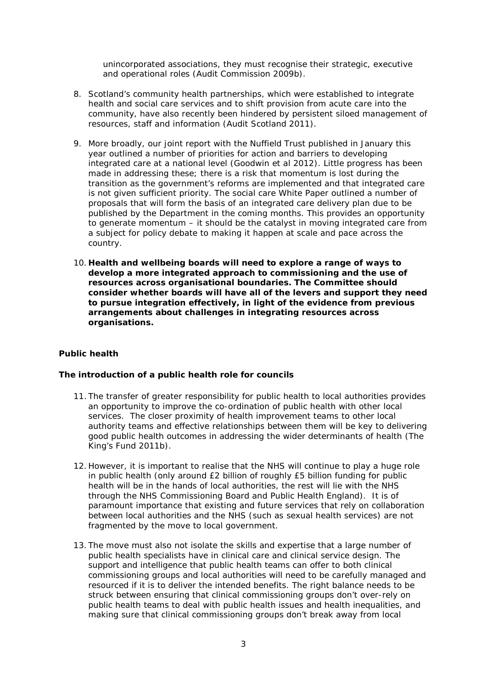unincorporated associations, they must recognise their strategic, executive and operational roles (Audit Commission 2009b).

- 8. Scotland's community health partnerships, which were established to integrate health and social care services and to shift provision from acute care into the community, have also recently been hindered by persistent siloed management of resources, staff and information (Audit Scotland 2011).
- 9. More broadly, our joint report with the Nuffield Trust published in January this year outlined a number of priorities for action and barriers to developing integrated care at a national level (Goodwin *et al* 2012). Little progress has been made in addressing these; there is a risk that momentum is lost during the transition as the government's reforms are implemented and that integrated care is not given sufficient priority. The social care White Paper outlined a number of proposals that will form the basis of an integrated care delivery plan due to be published by the Department in the coming months. This provides an opportunity to generate momentum – it should be the catalyst in moving integrated care from a subject for policy debate to making it happen at scale and pace across the country.
- 10. *Health and wellbeing boards will need to explore a range of ways to develop a more integrated approach to commissioning and the use of resources across organisational boundaries. The Committee should consider whether boards will have all of the levers and support they need to pursue integration effectively, in light of the evidence from previous arrangements about challenges in integrating resources across organisations.*

# **Public health**

## **The introduction of a public health role for councils**

- 11. The transfer of greater responsibility for public health to local authorities provides an opportunity to improve the co-ordination of public health with other local services. The closer proximity of health improvement teams to other local authority teams and effective relationships between them will be key to delivering good public health outcomes in addressing the wider determinants of health (The King's Fund 2011b).
- 12. However, it is important to realise that the NHS will continue to play a huge role in public health (only around £2 billion of roughly £5 billion funding for public health will be in the hands of local authorities, the rest will lie with the NHS through the NHS Commissioning Board and Public Health England). It is of paramount importance that existing and future services that rely on collaboration between local authorities and the NHS (such as sexual health services) are not fragmented by the move to local government.
- 13. The move must also not isolate the skills and expertise that a large number of public health specialists have in clinical care and clinical service design. The support and intelligence that public health teams can offer to both clinical commissioning groups and local authorities will need to be carefully managed and resourced if it is to deliver the intended benefits. The right balance needs to be struck between ensuring that clinical commissioning groups don't over-rely on public health teams to deal with public health issues and health inequalities, and making sure that clinical commissioning groups don't break away from local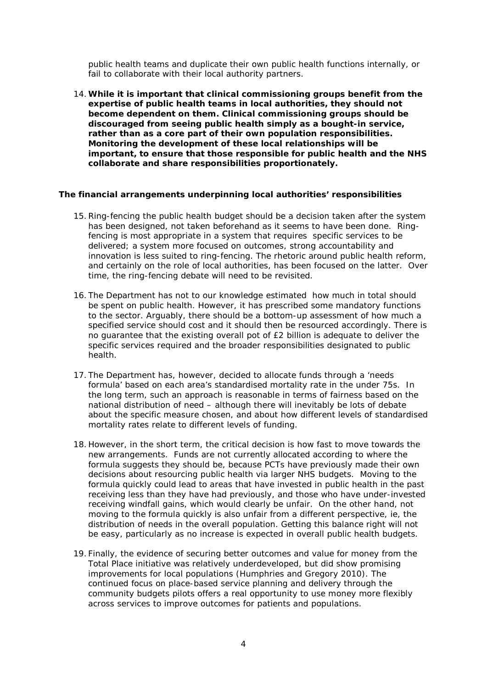public health teams and duplicate their own public health functions internally, or fail to collaborate with their local authority partners.

14.*While it is important that clinical commissioning groups benefit from the expertise of public health teams in local authorities, they should not become dependent on them. Clinical commissioning groups should be discouraged from seeing public health simply as a bought-in service, rather than as a core part of their own population responsibilities. Monitoring the development of these local relationships will be important, to ensure that those responsible for public health and the NHS collaborate and share responsibilities proportionately.*

#### **The financial arrangements underpinning local authorities' responsibilities**

- 15.Ring-fencing the public health budget should be a decision taken after the system has been designed, not taken beforehand as it seems to have been done. Ringfencing is most appropriate in a system that requires specific services to be delivered; a system more focused on outcomes, strong accountability and innovation is less suited to ring-fencing. The rhetoric around public health reform, and certainly on the role of local authorities, has been focused on the latter. Over time, the ring-fencing debate will need to be revisited.
- 16. The Department has not to our knowledge estimated how much in total *should*  be spent on public health. However, it has prescribed some mandatory functions to the sector. Arguably, there should be a bottom-up assessment of how much a specified service should cost and it should then be resourced accordingly. There is no guarantee that the existing overall pot of £2 billion is adequate to deliver the specific services required and the broader responsibilities designated to public health.
- 17. The Department has, however, decided to allocate funds through a 'needs formula' based on each area's standardised mortality rate in the under 75s. In the long term, such an approach is reasonable in terms of fairness based on the *national* distribution of need – although there will inevitably be lots of debate about the specific measure chosen, and about how different levels of standardised mortality rates relate to different levels of funding.
- 18. However, in the short term, the critical decision is how fast to move towards the new arrangements. Funds are not currently allocated according to where the formula suggests they should be, because PCTs have previously made their own decisions about resourcing public health via larger NHS budgets. Moving to the formula quickly could lead to areas that have invested in public health in the past receiving less than they have had previously, and those who have under-invested receiving windfall gains, which would clearly be unfair. On the other hand, not moving to the formula quickly is also unfair from a different perspective, ie, the distribution of needs in the overall population. Getting this balance right will not be easy, particularly as no increase is expected in overall public health budgets.
- 19. Finally, the evidence of securing better outcomes and value for money from the Total Place initiative was relatively underdeveloped, but did show promising improvements for local populations (Humphries and Gregory 2010). The continued focus on place-based service planning and delivery through the community budgets pilots offers a real opportunity to use money more flexibly across services to improve outcomes for patients and populations.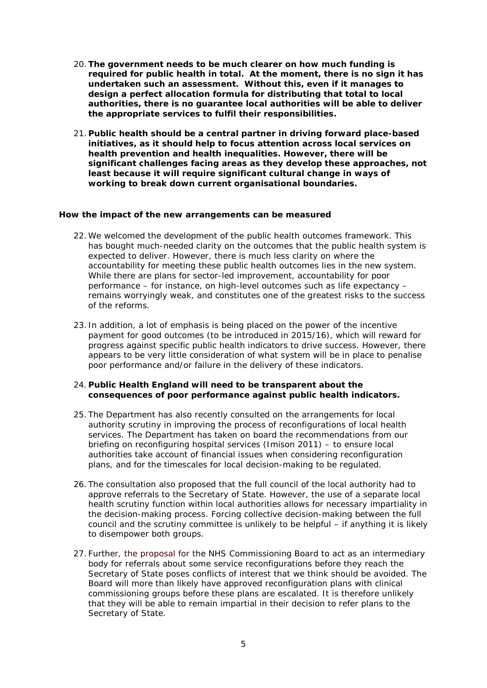- 20.*The government needs to be much clearer on how much funding is required for public health in total. At the moment, there is no sign it has undertaken such an assessment. Without this, even if it manages to design a perfect allocation formula for distributing that total to local authorities, there is no guarantee local authorities will be able to deliver the appropriate services to fulfil their responsibilities.*
- 21. *Public health should be a central partner in driving forward place-based initiatives, as it should help to focus attention across local services on health prevention and health inequalities. However, there will be significant challenges facing areas as they develop these approaches, not least because it will require significant cultural change in ways of working to break down current organisational boundaries.*

### **How the impact of the new arrangements can be measured**

- 22. We welcomed the development of the public health outcomes framework. This has bought much-needed clarity on the outcomes that the public health system is expected to deliver. However, there is much less clarity on where the accountability for meeting these public health outcomes lies in the new system. While there are plans for sector-led improvement, accountability for poor performance – for instance, on high-level outcomes such as life expectancy – remains worryingly weak, and constitutes one of the greatest risks to the success of the reforms.
- 23. In addition, a lot of emphasis is being placed on the power of the incentive payment for good outcomes (to be introduced in 2015/16), which will reward for progress against specific public health indicators to drive success. However, there appears to be very little consideration of what system will be in place to penalise poor performance and/or failure in the delivery of these indicators.

## 24. *Public Health England will need to be transparent about the consequences of poor performance against public health indicators.*

- 25. The Department has also recently consulted on the arrangements for local authority scrutiny in improving the process of reconfigurations of local health services. The Department has taken on board the recommendations from our briefing on reconfiguring hospital services (Imison 2011) – to ensure local authorities take account of financial issues when considering reconfiguration plans, and for the timescales for local decision-making to be regulated.
- 26. The consultation also proposed that the full council of the local authority had to approve referrals to the Secretary of State. However, the use of a separate local health scrutiny function within local authorities allows for necessary impartiality in the decision-making process. Forcing collective decision-making between the full council and the scrutiny committee is unlikely to be helpful – if anything it is likely to disempower both groups.
- 27. Further, the proposal for the NHS Commissioning Board to act as an intermediary body for referrals about some service reconfigurations before they reach the Secretary of State poses conflicts of interest that we think should be avoided. The Board will more than likely have approved reconfiguration plans with clinical commissioning groups before these plans are escalated. It is therefore unlikely that they will be able to remain impartial in their decision to refer plans to the Secretary of State.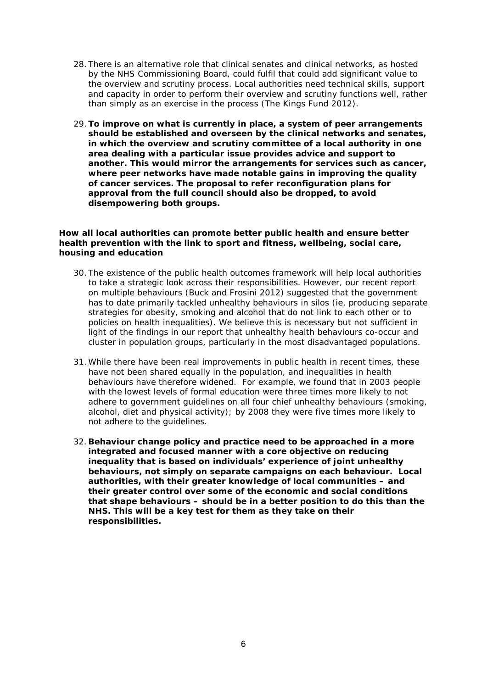- 28. There is an alternative role that clinical senates and clinical networks, as hosted by the NHS Commissioning Board, could fulfil that could add significant value to the overview and scrutiny process. Local authorities need technical skills, support and capacity in order to perform their overview and scrutiny functions well, rather than simply as an exercise in the process (The Kings Fund 2012).
- 29.*To improve on what is currently in place, a system of peer arrangements should be established and overseen by the clinical networks and senates, in which the overview and scrutiny committee of a local authority in one area dealing with a particular issue provides advice and support to another. This would mirror the arrangements for services such as cancer, where peer networks have made notable gains in improving the quality of cancer services. The proposal to refer reconfiguration plans for approval from the full council should also be dropped, to avoid disempowering both groups.*

### **How all local authorities can promote better public health and ensure better health prevention with the link to sport and fitness, wellbeing, social care, housing and education**

- 30. The existence of the public health outcomes framework will help local authorities to take a strategic look across their responsibilities. However, our recent report on multiple behaviours (Buck and Frosini 2012) suggested that the government has to date primarily tackled unhealthy behaviours in silos (ie, producing separate strategies for obesity, smoking and alcohol that do not link to each other or to policies on health inequalities). We believe this is necessary but not sufficient in light of the findings in our report that unhealthy health behaviours co-occur and cluster in population groups, particularly in the most disadvantaged populations.
- 31. While there have been real improvements in public health in recent times, these have not been shared equally in the population, and inequalities in health behaviours have therefore widened. For example, we found that in 2003 people with the lowest levels of formal education were three times more likely to not adhere to government guidelines on all four chief unhealthy behaviours (smoking, alcohol, diet and physical activity); by 2008 they were five times more likely to not adhere to the guidelines.
- 32. *Behaviour change policy and practice need to be approached in a more integrated and focused manner with a core objective on reducing inequality that is based on individuals' experience of joint unhealthy behaviours, not simply on separate campaigns on each behaviour. Local authorities, with their greater knowledge of local communities – and their greater control over some of the economic and social conditions that shape behaviours – should be in a better position to do this than the NHS. This will be a key test for them as they take on their responsibilities.*